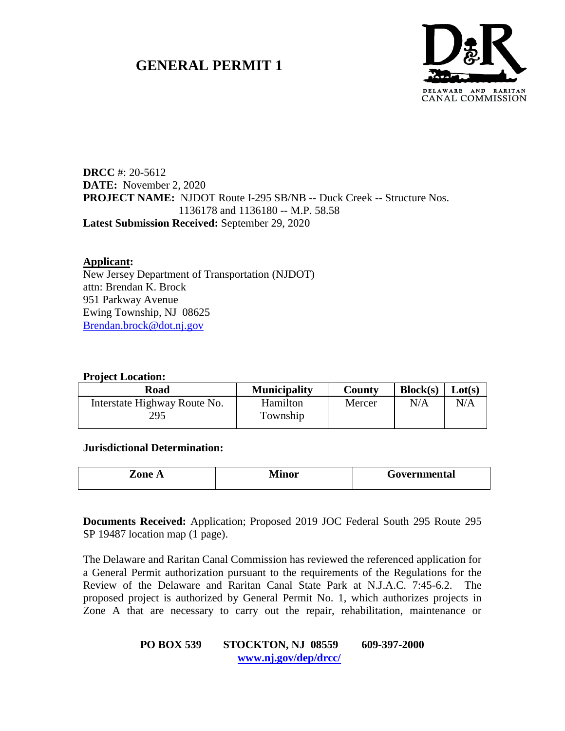# **GENERAL PERMIT 1**



**DRCC** #: 20-5612 **DATE:** November 2, 2020 **PROJECT NAME:** NJDOT Route I-295 SB/NB -- Duck Creek -- Structure Nos. 1136178 and 1136180 -- M.P. 58.58 **Latest Submission Received:** September 29, 2020

### **Applicant:**

New Jersey Department of Transportation (NJDOT) attn: Brendan K. Brock 951 Parkway Avenue Ewing Township, NJ 08625 [Brendan.brock@dot.nj.gov](mailto:Brendan.brock@dot.nj.gov)

#### **Project Location:**

| Road                                | <b>Municipality</b>  | County | Block(s) | Lot(s) |
|-------------------------------------|----------------------|--------|----------|--------|
| Interstate Highway Route No.<br>295 | Hamilton<br>Township | Mercer | N/A      | N/A    |

**Jurisdictional Determination:**

| Zone A | \ /[:<br>I 11 A 14 | Governmental |
|--------|--------------------|--------------|
|        |                    |              |

**Documents Received:** Application; Proposed 2019 JOC Federal South 295 Route 295 SP 19487 location map (1 page).

The Delaware and Raritan Canal Commission has reviewed the referenced application for a General Permit authorization pursuant to the requirements of the Regulations for the Review of the Delaware and Raritan Canal State Park at N.J.A.C. 7:45-6.2. The proposed project is authorized by General Permit No. 1, which authorizes projects in Zone A that are necessary to carry out the repair, rehabilitation, maintenance or

### **PO BOX 539 STOCKTON, NJ 08559 609-397-2000 [www.nj.gov/dep/drcc/](http://www.nj.gov/dep/drcc/)**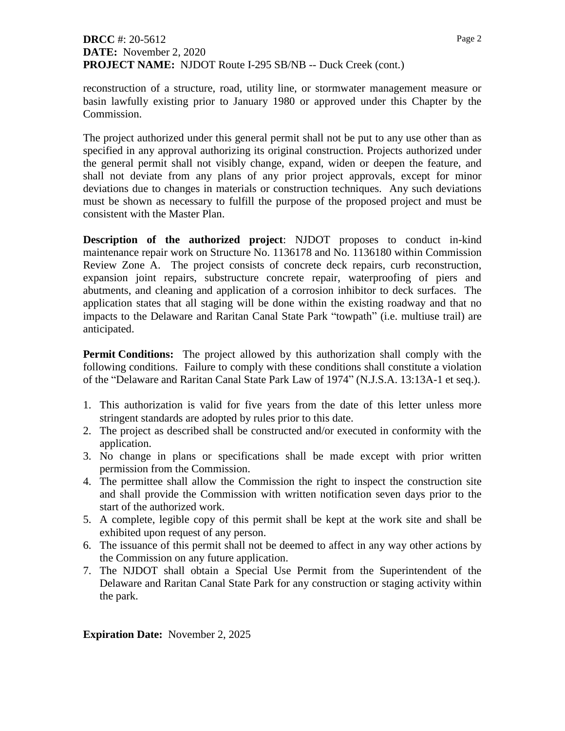## **DRCC** #: 20-5612 **DATE:** November 2, 2020 **PROJECT NAME:** NJDOT Route I-295 SB/NB -- Duck Creek (cont.)

reconstruction of a structure, road, utility line, or stormwater management measure or basin lawfully existing prior to January 1980 or approved under this Chapter by the Commission.

The project authorized under this general permit shall not be put to any use other than as specified in any approval authorizing its original construction. Projects authorized under the general permit shall not visibly change, expand, widen or deepen the feature, and shall not deviate from any plans of any prior project approvals, except for minor deviations due to changes in materials or construction techniques. Any such deviations must be shown as necessary to fulfill the purpose of the proposed project and must be consistent with the Master Plan.

**Description of the authorized project**: NJDOT proposes to conduct in-kind maintenance repair work on Structure No. 1136178 and No. 1136180 within Commission Review Zone A. The project consists of concrete deck repairs, curb reconstruction, expansion joint repairs, substructure concrete repair, waterproofing of piers and abutments, and cleaning and application of a corrosion inhibitor to deck surfaces. The application states that all staging will be done within the existing roadway and that no impacts to the Delaware and Raritan Canal State Park "towpath" (i.e. multiuse trail) are anticipated.

**Permit Conditions:** The project allowed by this authorization shall comply with the following conditions. Failure to comply with these conditions shall constitute a violation of the "Delaware and Raritan Canal State Park Law of 1974" (N.J.S.A. 13:13A-1 et seq.).

- 1. This authorization is valid for five years from the date of this letter unless more stringent standards are adopted by rules prior to this date.
- 2. The project as described shall be constructed and/or executed in conformity with the application.
- 3. No change in plans or specifications shall be made except with prior written permission from the Commission.
- 4. The permittee shall allow the Commission the right to inspect the construction site and shall provide the Commission with written notification seven days prior to the start of the authorized work.
- 5. A complete, legible copy of this permit shall be kept at the work site and shall be exhibited upon request of any person.
- 6. The issuance of this permit shall not be deemed to affect in any way other actions by the Commission on any future application.
- 7. The NJDOT shall obtain a Special Use Permit from the Superintendent of the Delaware and Raritan Canal State Park for any construction or staging activity within the park.

**Expiration Date:** November 2, 2025